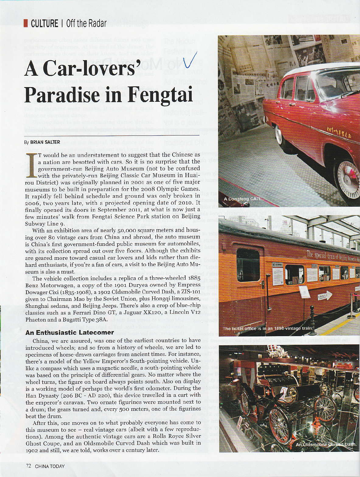## **A Car-lovers' Paradise in Fengtai**

## By BRIAN SALTER

T would be an understatement to suggest that the Chinese as a nation are besotted with cars. So it is no surprise that the government-run Beijing Auto Museum (not to be confused with the privately-run Beijing Classic Car Museum in Huairou District) was originally planned in 2001 as one of five major museums to be built in preparation for the 2008 Olympic Games. It rapidly fell behind schedule and ground was only broken in 2006, two years late, with a projected opening date of 2010. It finally opened its doors in September 2011, at what is now just a few minutes' walk from Fengtai Science Park station on Beijing Subway Line 9.

With an exhibition area of nearly 50,000 square meters and housing over 80 vintage cars from China and abroad, the auto museum is China's first government-funded public museum for automobiles, with its collection spread out over five floors. Although the exhibits are geared more toward casual car lovers and kids rather than diehard enthusiasts, if you're a fan of cars, a visit to the Beijing Auto Museum is also a must.

The vehicle collection includes a replica of a three-wheeled 1885 Benz Motorwagen, a copy of the 1901 Duryea owned by Empress Dowager Cixi (1835-1908), a 1902 Oldsmobile Curved Dash, a ZIS-101 given to Chairman Mao by the Soviet Union, plus Hongqi limousines, Shanghai sedans, and Beijing Jeeps. There's also a crop of blue-chip classics such as a Ferrari Dino GT, a Jaguar XK120, a Lincoln V12 Phaeton and a Bugatti Type 38A.

## **An Enthusiastic Latecomer**

China, we are assured, was one of the earliest countries to have introduced wheels; and so from a history of wheels, we are led to specimens of horse-drawn carriages from ancient times. For instance, there's a model of the Yellow Emperor's South-pointing vehicle. Unlike a compass which uses a magnetic needle, a south-pointing vehicle was based on the principle of differential gears. No matter where the wheel turns, the figure on board always points south. Also on display is a working model of perhaps the world's first odometer. During the Han Dynasty (206 BC - AD 220), this device travelled in a cart with the emperor's caravan. Two ornate figurines were mounted next to a drum; the gears turned and, every 500 meters, one of the figurines beat the drum.

After this, one moves on to what probably everyone has come to this museum to see - real vintage cars (albeit with a few reproductions). Among the authentic vintage cars are a Rolls Royce Silver Ghost Coupe, and an Oldsmobile Curved Dash which was built in 1902 and still, we are told, works over a century later.